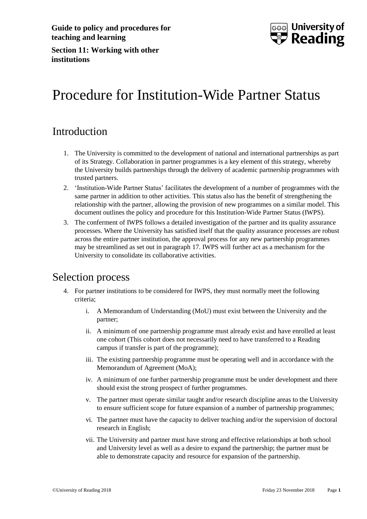

**Section 11: Working with other institutions**

# Procedure for Institution-Wide Partner Status

### Introduction

- 1. The University is committed to the development of national and international partnerships as part of its Strategy. Collaboration in partner programmes is a key element of this strategy, whereby the University builds partnerships through the delivery of academic partnership programmes with trusted partners.
- 2. 'Institution-Wide Partner Status' facilitates the development of a number of programmes with the same partner in addition to other activities. This status also has the benefit of strengthening the relationship with the partner, allowing the provision of new programmes on a similar model. This document outlines the policy and procedure for this Institution-Wide Partner Status (IWPS).
- 3. The conferment of IWPS follows a detailed investigation of the partner and its quality assurance processes. Where the University has satisfied itself that the quality assurance processes are robust across the entire partner institution, the approval process for any new partnership programmes may be streamlined as set out in paragraph 17. IWPS will further act as a mechanism for the University to consolidate its collaborative activities.

### Selection process

- 4. For partner institutions to be considered for IWPS, they must normally meet the following criteria;
	- i. A Memorandum of Understanding (MoU) must exist between the University and the partner;
	- ii. A minimum of one partnership programme must already exist and have enrolled at least one cohort (This cohort does not necessarily need to have transferred to a Reading campus if transfer is part of the programme);
	- iii. The existing partnership programme must be operating well and in accordance with the Memorandum of Agreement (MoA);
	- iv. A minimum of one further partnership programme must be under development and there should exist the strong prospect of further programmes.
	- v. The partner must operate similar taught and/or research discipline areas to the University to ensure sufficient scope for future expansion of a number of partnership programmes;
	- vi. The partner must have the capacity to deliver teaching and/or the supervision of doctoral research in English;
	- vii. The University and partner must have strong and effective relationships at both school and University level as well as a desire to expand the partnership; the partner must be able to demonstrate capacity and resource for expansion of the partnership.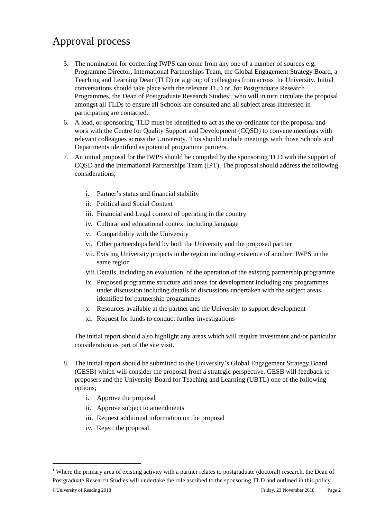## Approval process

- 5. The nomination for conferring IWPS can come from any one of a number of sources e.g. Programme Director, International Partnerships Team, the Global Engagement Strategy Board, a Teaching and Learning Dean (TLD) or a group of colleagues from across the University. Initial conversations should take place with the relevant TLD or, for Postgraduate Research Programmes, the Dean of Postgraduate Research Studies<sup>1</sup>, who will in turn circulate the proposal amongst all TLDs to ensure all Schools are consulted and all subject areas interested in participating are contacted.
- 6. A lead, or sponsoring, TLD must be identified to act as the co-ordinator for the proposal and work with the Centre for Quality Support and Development (CQSD) to convene meetings with relevant colleagues across the University. This should include meetings with those Schools and Departments identified as potential programme partners.
- 7. An initial proposal for the IWPS should be compiled by the sponsoring TLD with the support of CQSD and the International Partnerships Team (IPT). The proposal should address the following considerations;
	- i. Partner's status and financial stability
	- ii. Political and Social Context
	- iii. Financial and Legal context of operating in the country
	- iv. Cultural and educational context including language
	- v. Compatibility with the University
	- vi. Other partnerships held by both the University and the proposed partner
	- vii. Existing University projects in the region including existence of another IWPS in the same region
	- viii.Details, including an evaluation, of the operation of the existing partnership programme
	- ix. Proposed programme structure and areas for development including any programmes under discussion including details of discussions undertaken with the subject areas identified for partnership programmes
	- x. Resources available at the partner and the University to support development
	- xi. Request for funds to conduct further investigations

The initial report should also highlight any areas which will require investment and/or particular consideration as part of the site visit.

- 8. The initial report should be submitted to the University's Global Engagement Strategy Board (GESB) which will consider the proposal from a strategic perspective. GESB will feedback to proposers and the University Board for Teaching and Learning (UBTL) one of the following options;
	- i. Approve the proposal
	- ii. Approve subject to amendments
	- iii. Request additional information on the proposal
	- iv. Reject the proposal.

-

<sup>©</sup>University of Reading 2018 Friday, 23 November 2018 Page **2** <sup>1</sup> Where the primary area of existing activity with a partner relates to postgraduate (doctoral) research, the Dean of Postgraduate Research Studies will undertake the role ascribed to the sponsoring TLD and outlined in this policy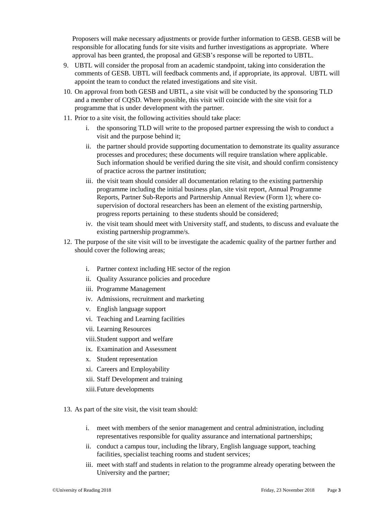Proposers will make necessary adjustments or provide further information to GESB. GESB will be responsible for allocating funds for site visits and further investigations as appropriate. Where approval has been granted, the proposal and GESB's response will be reported to UBTL.

- 9. UBTL will consider the proposal from an academic standpoint, taking into consideration the comments of GESB. UBTL will feedback comments and, if appropriate, its approval. UBTL will appoint the team to conduct the related investigations and site visit.
- 10. On approval from both GESB and UBTL, a site visit will be conducted by the sponsoring TLD and a member of CQSD. Where possible, this visit will coincide with the site visit for a programme that is under development with the partner.
- 11. Prior to a site visit, the following activities should take place:
	- i. the sponsoring TLD will write to the proposed partner expressing the wish to conduct a visit and the purpose behind it;
	- ii. the partner should provide supporting documentation to demonstrate its quality assurance processes and procedures; these documents will require translation where applicable. Such information should be verified during the site visit, and should confirm consistency of practice across the partner institution;
	- iii. the visit team should consider all documentation relating to the existing partnership programme including the initial business plan, site visit report, Annual Programme Reports, Partner Sub-Reports and Partnership Annual Review (Form 1); where cosupervision of doctoral researchers has been an element of the existing partnership, progress reports pertaining to these students should be considered;
	- iv. the visit team should meet with University staff, and students, to discuss and evaluate the existing partnership programme/s.
- 12. The purpose of the site visit will to be investigate the academic quality of the partner further and should cover the following areas;
	- i. Partner context including HE sector of the region
	- ii. Quality Assurance policies and procedure
	- iii. Programme Management
	- iv. Admissions, recruitment and marketing
	- v. English language support
	- vi. Teaching and Learning facilities
	- vii. Learning Resources
	- viii.Student support and welfare
	- ix. Examination and Assessment
	- x. Student representation
	- xi. Careers and Employability
	- xii. Staff Development and training
	- xiii.Future developments
- 13. As part of the site visit, the visit team should:
	- i. meet with members of the senior management and central administration, including representatives responsible for quality assurance and international partnerships;
	- ii. conduct a campus tour, including the library, English language support, teaching facilities, specialist teaching rooms and student services;
	- iii. meet with staff and students in relation to the programme already operating between the University and the partner;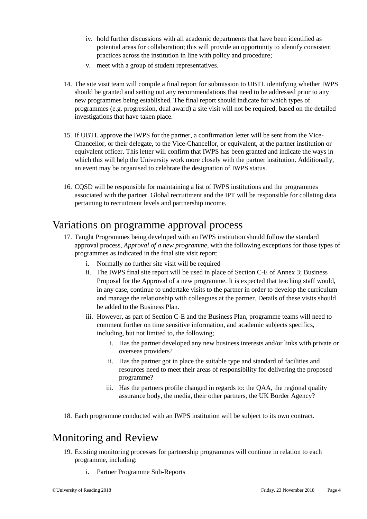- iv. hold further discussions with all academic departments that have been identified as potential areas for collaboration; this will provide an opportunity to identify consistent practices across the institution in line with policy and procedure;
- v. meet with a group of student representatives.
- 14. The site visit team will compile a final report for submission to UBTL identifying whether IWPS should be granted and setting out any recommendations that need to be addressed prior to any new programmes being established. The final report should indicate for which types of programmes (e.g. progression, dual award) a site visit will not be required, based on the detailed investigations that have taken place.
- 15. If UBTL approve the IWPS for the partner, a confirmation letter will be sent from the Vice-Chancellor, or their delegate, to the Vice-Chancellor, or equivalent, at the partner institution or equivalent officer. This letter will confirm that IWPS has been granted and indicate the ways in which this will help the University work more closely with the partner institution. Additionally, an event may be organised to celebrate the designation of IWPS status.
- 16. CQSD will be responsible for maintaining a list of IWPS institutions and the programmes associated with the partner. Global recruitment and the IPT will be responsible for collating data pertaining to recruitment levels and partnership income.

#### Variations on programme approval process

- 17. Taught Programmes being developed with an IWPS institution should follow the standard approval process, *Approval of a new programme*, with the following exceptions for those types of programmes as indicated in the final site visit report:
	- i. Normally no further site visit will be required
	- ii. The IWPS final site report will be used in place of Section C-E of Annex 3; Business Proposal for the Approval of a new programme. It is expected that teaching staff would, in any case, continue to undertake visits to the partner in order to develop the curriculum and manage the relationship with colleagues at the partner. Details of these visits should be added to the Business Plan.
	- iii. However, as part of Section C-E and the Business Plan, programme teams will need to comment further on time sensitive information, and academic subjects specifics, including, but not limited to, the following;
		- i. Has the partner developed any new business interests and/or links with private or overseas providers?
		- ii. Has the partner got in place the suitable type and standard of facilities and resources need to meet their areas of responsibility for delivering the proposed programme?
		- iii. Has the partners profile changed in regards to: the QAA, the regional quality assurance body, the media, their other partners, the UK Border Agency?
- 18. Each programme conducted with an IWPS institution will be subject to its own contract.

### Monitoring and Review

- 19. Existing monitoring processes for partnership programmes will continue in relation to each programme, including:
	- i. Partner Programme Sub-Reports